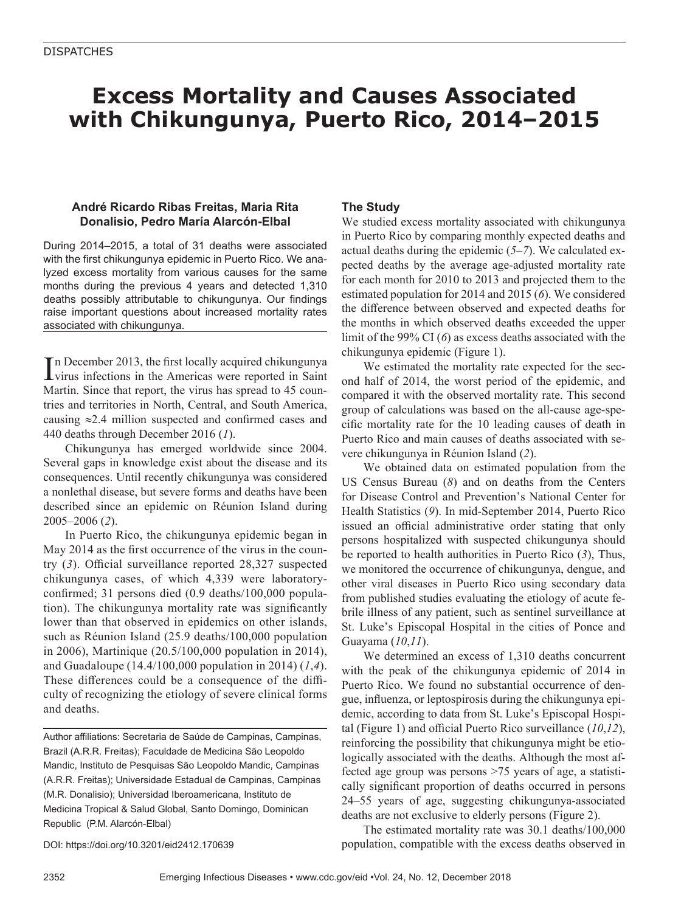# **Excess Mortality and Causes Associated with Chikungunya, Puerto Rico, 2014–2015**

## **André Ricardo Ribas Freitas, Maria Rita Donalisio, Pedro María Alarcón-Elbal**

During 2014–2015, a total of 31 deaths were associated with the first chikungunya epidemic in Puerto Rico. We analyzed excess mortality from various causes for the same months during the previous 4 years and detected 1,310 deaths possibly attributable to chikungunya. Our findings raise important questions about increased mortality rates associated with chikungunya.

In December 2013, the first locally acquired chikungunya<br>virus infections in the Americas were reported in Saint n December 2013, the first locally acquired chikungunya Martin. Since that report, the virus has spread to 45 countries and territories in North, Central, and South America, causing ≈2.4 million suspected and confirmed cases and 440 deaths through December 2016 (*1*).

Chikungunya has emerged worldwide since 2004. Several gaps in knowledge exist about the disease and its consequences. Until recently chikungunya was considered a nonlethal disease, but severe forms and deaths have been described since an epidemic on Réunion Island during 2005–2006 (*2*).

In Puerto Rico, the chikungunya epidemic began in May 2014 as the first occurrence of the virus in the country (*3*). Official surveillance reported 28,327 suspected chikungunya cases, of which 4,339 were laboratoryconfirmed; 31 persons died (0.9 deaths/100,000 population). The chikungunya mortality rate was significantly lower than that observed in epidemics on other islands, such as Réunion Island (25.9 deaths/100,000 population in 2006), Martinique (20.5/100,000 population in 2014), and Guadaloupe (14.4/100,000 population in 2014) (*1*,*4*). These differences could be a consequence of the difficulty of recognizing the etiology of severe clinical forms and deaths.

Author affiliations: Secretaria de Saúde de Campinas, Campinas, Brazil (A.R.R. Freitas); Faculdade de Medicina São Leopoldo Mandic, Instituto de Pesquisas São Leopoldo Mandic, Campinas (A.R.R. Freitas); Universidade Estadual de Campinas, Campinas (M.R. Donalisio); Universidad Iberoamericana, Instituto de Medicina Tropical & Salud Global, Santo Domingo, Dominican Republic (P.M. Alarcón-Elbal)

DOI: https://doi.org/10.3201/eid2412.170639

## **The Study**

We studied excess mortality associated with chikungunya in Puerto Rico by comparing monthly expected deaths and actual deaths during the epidemic (*5*–*7*). We calculated expected deaths by the average age-adjusted mortality rate for each month for 2010 to 2013 and projected them to the estimated population for 2014 and 2015 (*6*). We considered the difference between observed and expected deaths for the months in which observed deaths exceeded the upper limit of the 99% CI (*6*) as excess deaths associated with the chikungunya epidemic (Figure 1).

We estimated the mortality rate expected for the second half of 2014, the worst period of the epidemic, and compared it with the observed mortality rate. This second group of calculations was based on the all-cause age-specific mortality rate for the 10 leading causes of death in Puerto Rico and main causes of deaths associated with severe chikungunya in Réunion Island (*2*).

We obtained data on estimated population from the US Census Bureau (*8*) and on deaths from the Centers for Disease Control and Prevention's National Center for Health Statistics (*9*). In mid-September 2014, Puerto Rico issued an official administrative order stating that only persons hospitalized with suspected chikungunya should be reported to health authorities in Puerto Rico (*3*), Thus, we monitored the occurrence of chikungunya, dengue, and other viral diseases in Puerto Rico using secondary data from published studies evaluating the etiology of acute febrile illness of any patient, such as sentinel surveillance at St. Luke's Episcopal Hospital in the cities of Ponce and Guayama (*10*,*11*).

We determined an excess of 1,310 deaths concurrent with the peak of the chikungunya epidemic of 2014 in Puerto Rico. We found no substantial occurrence of dengue, influenza, or leptospirosis during the chikungunya epidemic, according to data from St. Luke's Episcopal Hospital (Figure 1) and official Puerto Rico surveillance (*10*,*12*), reinforcing the possibility that chikungunya might be etiologically associated with the deaths. Although the most affected age group was persons >75 years of age, a statistically significant proportion of deaths occurred in persons 24–55 years of age, suggesting chikungunya-associated deaths are not exclusive to elderly persons (Figure 2).

The estimated mortality rate was 30.1 deaths/100,000 population, compatible with the excess deaths observed in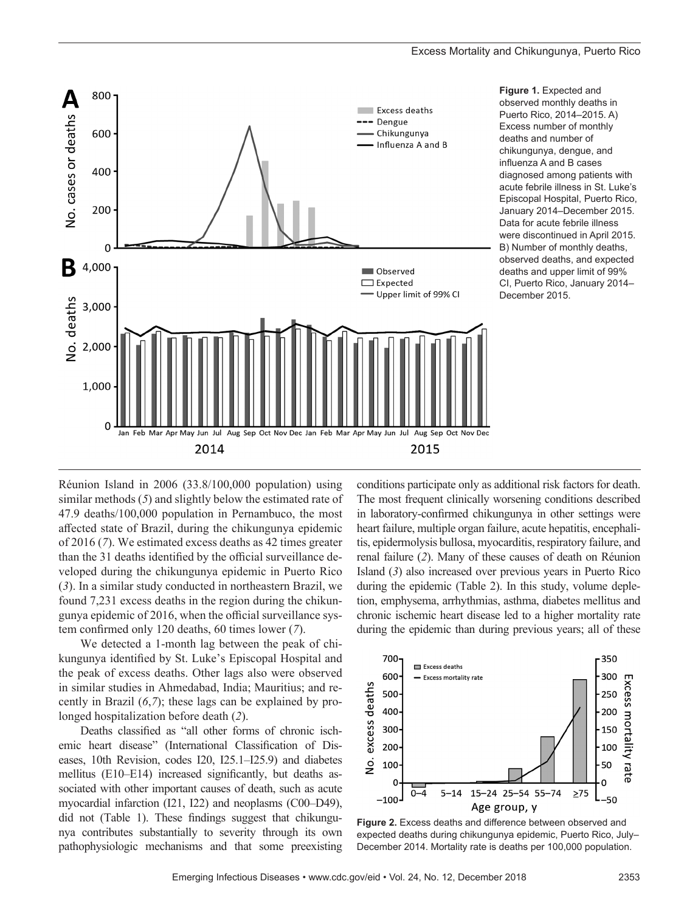

**Figure 1.** Expected and observed monthly deaths in Puerto Rico, 2014–2015. A) Excess number of monthly deaths and number of chikungunya, dengue, and influenza A and B cases diagnosed among patients with acute febrile illness in St. Luke's Episcopal Hospital, Puerto Rico, January 2014–December 2015. Data for acute febrile illness were discontinued in April 2015. B) Number of monthly deaths, observed deaths, and expected deaths and upper limit of 99% CI, Puerto Rico, January 2014– December 2015.

Réunion Island in 2006 (33.8/100,000 population) using similar methods (*5*) and slightly below the estimated rate of 47.9 deaths/100,000 population in Pernambuco, the most affected state of Brazil, during the chikungunya epidemic of 2016 (*7*). We estimated excess deaths as 42 times greater than the 31 deaths identified by the official surveillance developed during the chikungunya epidemic in Puerto Rico (*3*). In a similar study conducted in northeastern Brazil, we found 7,231 excess deaths in the region during the chikungunya epidemic of 2016, when the official surveillance system confirmed only 120 deaths, 60 times lower (*7*).

We detected a 1-month lag between the peak of chikungunya identified by St. Luke's Episcopal Hospital and the peak of excess deaths. Other lags also were observed in similar studies in Ahmedabad, India; Mauritius; and recently in Brazil (*6*,*7*); these lags can be explained by prolonged hospitalization before death (*2*).

Deaths classified as "all other forms of chronic ischemic heart disease" (International Classification of Diseases, 10th Revision, codes I20, I25.1–I25.9) and diabetes mellitus (E10–E14) increased significantly, but deaths associated with other important causes of death, such as acute myocardial infarction (I21, I22) and neoplasms (C00–D49), did not (Table 1). These findings suggest that chikungunya contributes substantially to severity through its own pathophysiologic mechanisms and that some preexisting

conditions participate only as additional risk factors for death. The most frequent clinically worsening conditions described in laboratory-confirmed chikungunya in other settings were heart failure, multiple organ failure, acute hepatitis, encephalitis, epidermolysis bullosa, myocarditis, respiratory failure, and renal failure (*2*). Many of these causes of death on Réunion Island (*3*) also increased over previous years in Puerto Rico during the epidemic (Table 2). In this study, volume depletion, emphysema, arrhythmias, asthma, diabetes mellitus and chronic ischemic heart disease led to a higher mortality rate during the epidemic than during previous years; all of these



**Figure 2.** Excess deaths and difference between observed and expected deaths during chikungunya epidemic, Puerto Rico, July– December 2014. Mortality rate is deaths per 100,000 population.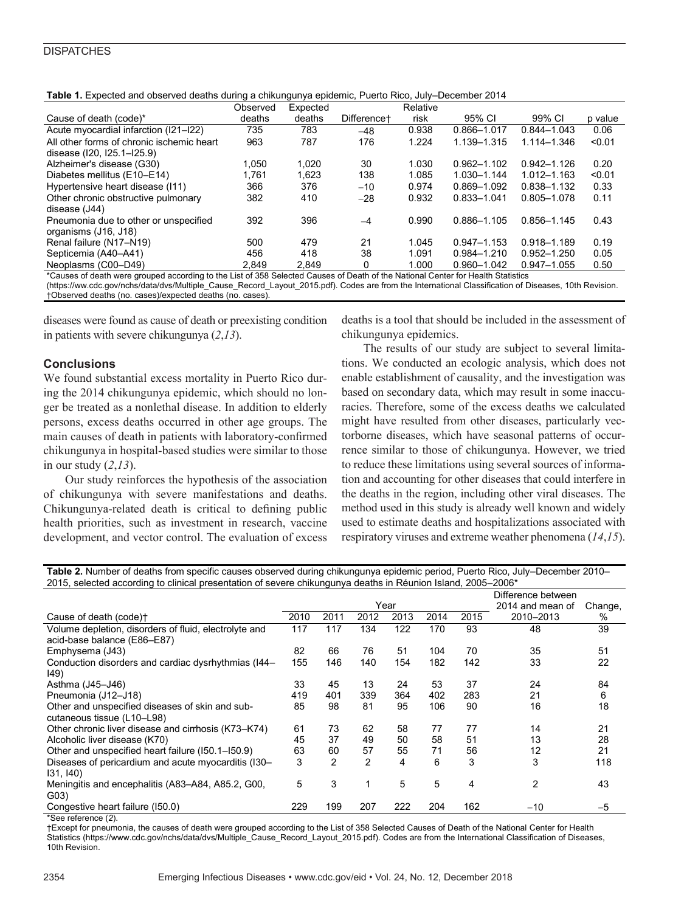### **DISPATCHES**

| Table 1. Expected and observed deaths during a chikungunya epidemic, Puerto Rico, July–December 2014 |  |
|------------------------------------------------------------------------------------------------------|--|
|------------------------------------------------------------------------------------------------------|--|

|                                                                                                                                                                                                                                                                         | Observed | Expected |                         | Relative |                 |                 |         |  |  |
|-------------------------------------------------------------------------------------------------------------------------------------------------------------------------------------------------------------------------------------------------------------------------|----------|----------|-------------------------|----------|-----------------|-----------------|---------|--|--|
| Cause of death (code)*                                                                                                                                                                                                                                                  | deaths   | deaths   | Difference <sup>+</sup> | risk     | 95% CI          | 99% CI          | p value |  |  |
| Acute myocardial infarction (I21-I22)                                                                                                                                                                                                                                   | 735      | 783      | $-48$                   | 0.938    | 0.866-1.017     | $0.844 - 1.043$ | 0.06    |  |  |
| All other forms of chronic ischemic heart                                                                                                                                                                                                                               | 963      | 787      | 176                     | 1.224    | 1.139-1.315     | 1.114-1.346     | < 0.01  |  |  |
| disease (120, 125.1–125.9)                                                                                                                                                                                                                                              |          |          |                         |          |                 |                 |         |  |  |
| Alzheimer's disease (G30)                                                                                                                                                                                                                                               | 1.050    | 1.020    | 30                      | 1.030    | $0.962 - 1.102$ | $0.942 - 1.126$ | 0.20    |  |  |
| Diabetes mellitus (E10–E14)                                                                                                                                                                                                                                             | 1.761    | 1.623    | 138                     | 1.085    | 1.030-1.144     | 1.012-1.163     | < 0.01  |  |  |
| Hypertensive heart disease (111)                                                                                                                                                                                                                                        | 366      | 376      | $-10$                   | 0.974    | 0.869-1.092     | 0.838-1.132     | 0.33    |  |  |
| Other chronic obstructive pulmonary                                                                                                                                                                                                                                     | 382      | 410      | $-28$                   | 0.932    | $0.833 - 1.041$ | 0.805-1.078     | 0.11    |  |  |
| disease (J44)                                                                                                                                                                                                                                                           |          |          |                         |          |                 |                 |         |  |  |
| Pneumonia due to other or unspecified                                                                                                                                                                                                                                   | 392      | 396      | $-4$                    | 0.990    | 0.886-1.105     | 0.856-1.145     | 0.43    |  |  |
| organisms (J16, J18)                                                                                                                                                                                                                                                    |          |          |                         |          |                 |                 |         |  |  |
| Renal failure (N17-N19)                                                                                                                                                                                                                                                 | 500      | 479      | 21                      | 1.045    | $0.947 - 1.153$ | 0.918-1.189     | 0.19    |  |  |
| Septicemia (A40-A41)                                                                                                                                                                                                                                                    | 456      | 418      | 38                      | 1.091    | $0.984 - 1.210$ | $0.952 - 1.250$ | 0.05    |  |  |
| Neoplasms (C00-D49)                                                                                                                                                                                                                                                     | 2.849    | 2.849    | U                       | 1.000    | 0.960-1.042     | $0.947 - 1.055$ | 0.50    |  |  |
| $\bullet$ . The set of the set of the set of the set of the set of the set of the set of the set of the set of the set of the set of the set of the set of the set of the set of the set of the set of the set of the set of the s<br>100001110<br>$\sim$ $\sim$ $\sim$ |          |          |                         |          |                 |                 |         |  |  |

Causes of death were grouped according to the List of 358 Selected Causes of Death of the National Center for Health Statistics (https://ww.cdc.gov/nchs/data/dvs/Multiple\_Cause\_Record\_Layout\_2015.pdf). Codes are from the International Classification of Diseases, 10th Revision. †Observed deaths (no. cases)/expected deaths (no. cases).

diseases were found as cause of death or preexisting condition in patients with severe chikungunya (*2*,*13*).

## **Conclusions**

We found substantial excess mortality in Puerto Rico during the 2014 chikungunya epidemic, which should no longer be treated as a nonlethal disease. In addition to elderly persons, excess deaths occurred in other age groups. The main causes of death in patients with laboratory-confirmed chikungunya in hospital-based studies were similar to those in our study (*2*,*13*).

Our study reinforces the hypothesis of the association of chikungunya with severe manifestations and deaths. Chikungunya-related death is critical to defining public health priorities, such as investment in research, vaccine development, and vector control. The evaluation of excess deaths is a tool that should be included in the assessment of chikungunya epidemics.

The results of our study are subject to several limitations. We conducted an ecologic analysis, which does not enable establishment of causality, and the investigation was based on secondary data, which may result in some inaccuracies. Therefore, some of the excess deaths we calculated might have resulted from other diseases, particularly vectorborne diseases, which have seasonal patterns of occurrence similar to those of chikungunya. However, we tried to reduce these limitations using several sources of information and accounting for other diseases that could interfere in the deaths in the region, including other viral diseases. The method used in this study is already well known and widely used to estimate deaths and hospitalizations associated with respiratory viruses and extreme weather phenomena (*14*,*15*).

**Table 2.** Number of deaths from specific causes observed during chikungunya epidemic period, Puerto Rico, July–December 2010– 2015, selected according to clinical presentation of severe chikungunya deaths in Réunion Island, 2005–2006\*

|      |                |      |      |      |                  | Difference between |      |  |
|------|----------------|------|------|------|------------------|--------------------|------|--|
| Year |                |      |      |      | 2014 and mean of | Change,            |      |  |
| 2010 | 2011           | 2012 | 2013 | 2014 | 2015             | 2010-2013          | ℅    |  |
| 117  | 117            | 134  | 122  | 170  | 93               | 48                 | 39   |  |
|      |                |      |      |      |                  |                    |      |  |
| 82   | 66             | 76   | 51   | 104  | 70               | 35                 | 51   |  |
| 155  | 146            | 140  | 154  | 182  | 142              | 33                 | 22   |  |
|      |                |      |      |      |                  |                    |      |  |
| 33   | 45             | 13   | 24   | 53   | 37               | 24                 | 84   |  |
| 419  | 401            | 339  | 364  | 402  | 283              | 21                 | 6    |  |
| 85   | 98             | 81   | 95   | 106  | 90               | 16                 | 18   |  |
|      |                |      |      |      |                  |                    |      |  |
| 61   | 73             | 62   | 58   | 77   | 77               | 14                 | 21   |  |
| 45   | 37             | 49   | 50   | 58   | 51               | 13                 | 28   |  |
| 63   | 60             | 57   | 55   | 71   | 56               | 12                 | 21   |  |
| 3    | $\overline{2}$ | 2    | 4    | 6    | 3                | 3                  | 118  |  |
|      |                |      |      |      |                  |                    |      |  |
| 5    | 3              | 1    | 5    | 5    | 4                | $\mathfrak{p}$     | 43   |  |
|      |                |      |      |      |                  |                    |      |  |
| 229  | 199            | 207  | 222  | 204  | 162              | $-10$              | $-5$ |  |
|      |                |      |      |      |                  |                    |      |  |

\*See reference (*2*).

†Except for pneumonia, the causes of death were grouped according to the List of 358 Selected Causes of Death of the National Center for Health Statistics (https://www.cdc.gov/nchs/data/dvs/Multiple\_Cause\_Record\_Layout\_2015.pdf). Codes are from the International Classification of Diseases, 10th Revision.